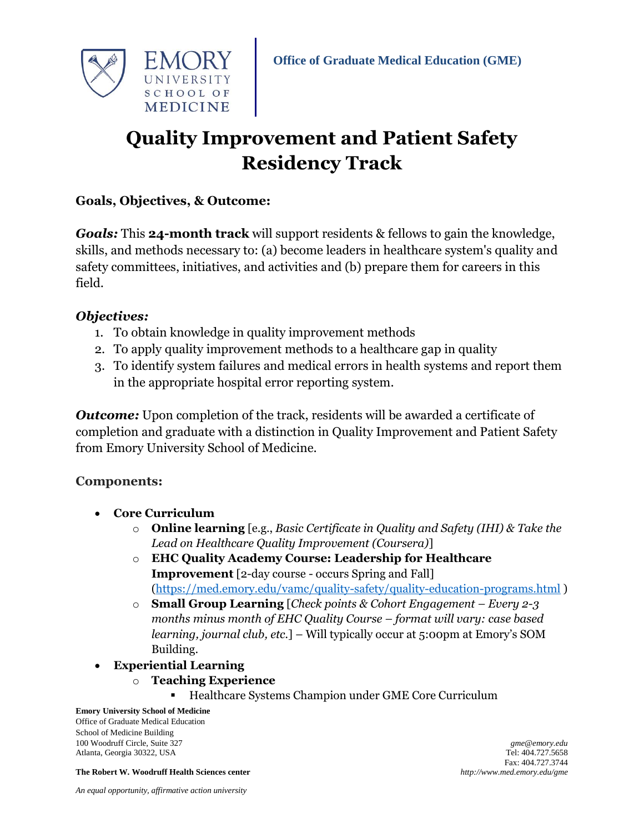

# **Quality Improvement and Patient Safety Residency Track**

# **Goals, Objectives, & Outcome:**

*Goals:* This **24-month track** will support residents & fellows to gain the knowledge, skills, and methods necessary to: (a) become leaders in healthcare system's quality and safety committees, initiatives, and activities and (b) prepare them for careers in this field.

# *Objectives:*

- 1. To obtain knowledge in quality improvement methods
- 2. To apply quality improvement methods to a healthcare gap in quality
- 3. To identify system failures and medical errors in health systems and report them in the appropriate hospital error reporting system.

*Outcome:* Upon completion of the track, residents will be awarded a certificate of completion and graduate with a distinction in Quality Improvement and Patient Safety from Emory University School of Medicine.

# **Components:**

- **Core Curriculum**
	- o **Online learning** [e.g., *Basic Certificate in Quality and Safety (IHI) & Take the Lead on Healthcare Quality Improvement (Coursera)*]
	- o **EHC Quality Academy Course: Leadership for Healthcare Improvement** [2-day course - occurs Spring and Fall] [\(https://med.emory.edu/vamc/quality-safety/quality-education-programs.html](https://med.emory.edu/vamc/quality-safety/quality-education-programs.html) )
	- o **Small Group Learning** [*Check points & Cohort Engagement – Every 2-3 months minus month of EHC Quality Course – format will vary: case based learning, journal club, etc.*] – Will typically occur at 5:00pm at Emory's SOM Building.
- **Experiential Learning** 
	- o **Teaching Experience** 
		- **Healthcare Systems Champion under GME Core Curriculum**

#### **Emory University School of Medicine**

Office of Graduate Medical Education School of Medicine Building 100 Woodruff Circle, Suite 327 *gme@emory.edu* Atlanta, Georgia 30322, USA Tel: 404.727.5658

**The Robert W. Woodruff Health Sciences center** *http://www.med.emory.edu/gme*